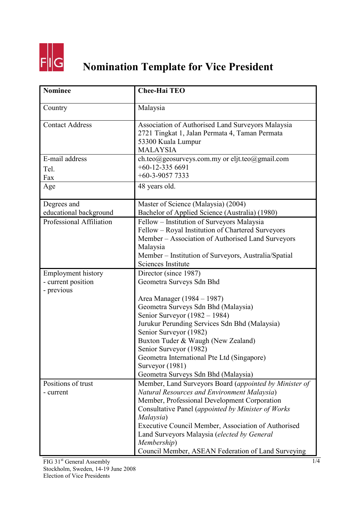

## **Nomination Template for Vice President**

| <b>Nominee</b>                                                | <b>Chee-Hai TEO</b>                                                                                                                                                                                                                                                                                                                                                                                        |
|---------------------------------------------------------------|------------------------------------------------------------------------------------------------------------------------------------------------------------------------------------------------------------------------------------------------------------------------------------------------------------------------------------------------------------------------------------------------------------|
| Country                                                       | Malaysia                                                                                                                                                                                                                                                                                                                                                                                                   |
| <b>Contact Address</b>                                        | Association of Authorised Land Surveyors Malaysia<br>2721 Tingkat 1, Jalan Permata 4, Taman Permata<br>53300 Kuala Lumpur<br><b>MALAYSIA</b>                                                                                                                                                                                                                                                               |
| E-mail address<br>Tel.<br>Fax                                 | ch.teo@geosurveys.com.my or eljt.teo@gmail.com<br>$+60-12-3356691$<br>$+60-3-90577333$                                                                                                                                                                                                                                                                                                                     |
| Age                                                           | 48 years old.                                                                                                                                                                                                                                                                                                                                                                                              |
| Degrees and<br>educational background                         | Master of Science (Malaysia) (2004)<br>Bachelor of Applied Science (Australia) (1980)                                                                                                                                                                                                                                                                                                                      |
| <b>Professional Affiliation</b>                               | Fellow - Institution of Surveyors Malaysia<br>Fellow – Royal Institution of Chartered Surveyors<br>Member - Association of Authorised Land Surveyors<br>Malaysia<br>Member – Institution of Surveyors, Australia/Spatial<br>Sciences Institute                                                                                                                                                             |
| <b>Employment history</b><br>- current position<br>- previous | Director (since 1987)<br>Geometra Surveys Sdn Bhd<br>Area Manager (1984 – 1987)<br>Geometra Surveys Sdn Bhd (Malaysia)<br>Senior Surveyor (1982 – 1984)<br>Jurukur Perunding Services Sdn Bhd (Malaysia)<br>Senior Surveyor (1982)<br>Buxton Tuder & Waugh (New Zealand)<br>Senior Surveyor (1982)<br>Geometra International Pte Ltd (Singapore)<br>Surveyor (1981)<br>Geometra Surveys Sdn Bhd (Malaysia) |
| Positions of trust<br>- current                               | Member, Land Surveyors Board (appointed by Minister of<br>Natural Resources and Environment Malaysia)<br>Member, Professional Development Corporation<br>Consultative Panel (appointed by Minister of Works<br>Malaysia)<br>Executive Council Member, Association of Authorised<br>Land Surveyors Malaysia (elected by General<br>Membership)<br>Council Member, ASEAN Federation of Land Surveying        |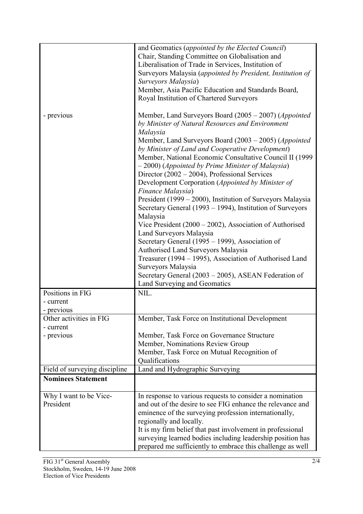|                                                    | and Geomatics (appointed by the Elected Council)<br>Chair, Standing Committee on Globalisation and<br>Liberalisation of Trade in Services, Institution of<br>Surveyors Malaysia (appointed by President, Institution of<br>Surveyors Malaysia)<br>Member, Asia Pacific Education and Standards Board,                                                                                                                                                                                                                                                                                                                                                                                                                                                |
|----------------------------------------------------|------------------------------------------------------------------------------------------------------------------------------------------------------------------------------------------------------------------------------------------------------------------------------------------------------------------------------------------------------------------------------------------------------------------------------------------------------------------------------------------------------------------------------------------------------------------------------------------------------------------------------------------------------------------------------------------------------------------------------------------------------|
| - previous                                         | Royal Institution of Chartered Surveyors<br>Member, Land Surveyors Board (2005 – 2007) ( <i>Appointed</i><br>by Minister of Natural Resources and Environment<br>Malaysia<br>Member, Land Surveyors Board (2003 – 2005) ( <i>Appointed</i><br>by Minister of Land and Cooperative Development)<br>Member, National Economic Consultative Council II (1999)<br>$-2000$ ) (Appointed by Prime Minister of Malaysia)<br>Director $(2002 – 2004)$ , Professional Services<br>Development Corporation (Appointed by Minister of<br>Finance Malaysia)<br>President (1999 – 2000), Institution of Surveyors Malaysia<br>Secretary General (1993 – 1994), Institution of Surveyors<br>Malaysia<br>Vice President $(2000 - 2002)$ , Association of Authorised |
|                                                    | Land Surveyors Malaysia<br>Secretary General (1995 – 1999), Association of<br>Authorised Land Surveyors Malaysia<br>Treasurer (1994 – 1995), Association of Authorised Land<br>Surveyors Malaysia<br>Secretary General (2003 – 2005), ASEAN Federation of<br>Land Surveying and Geomatics                                                                                                                                                                                                                                                                                                                                                                                                                                                            |
| Positions in FIG<br>- current<br>- previous        | NIL.                                                                                                                                                                                                                                                                                                                                                                                                                                                                                                                                                                                                                                                                                                                                                 |
| Other activities in FIG<br>- current<br>- previous | Member, Task Force on Institutional Development<br>Member, Task Force on Governance Structure<br>Member, Nominations Review Group<br>Member, Task Force on Mutual Recognition of<br>Qualifications                                                                                                                                                                                                                                                                                                                                                                                                                                                                                                                                                   |
| Field of surveying discipline                      | Land and Hydrographic Surveying                                                                                                                                                                                                                                                                                                                                                                                                                                                                                                                                                                                                                                                                                                                      |
| <b>Nominees Statement</b>                          |                                                                                                                                                                                                                                                                                                                                                                                                                                                                                                                                                                                                                                                                                                                                                      |
| Why I want to be Vice-<br>President                | In response to various requests to consider a nomination<br>and out of the desire to see FIG enhance the relevance and<br>eminence of the surveying profession internationally,<br>regionally and locally.<br>It is my firm belief that past involvement in professional<br>surveying learned bodies including leadership position has<br>prepared me sufficiently to embrace this challenge as well                                                                                                                                                                                                                                                                                                                                                 |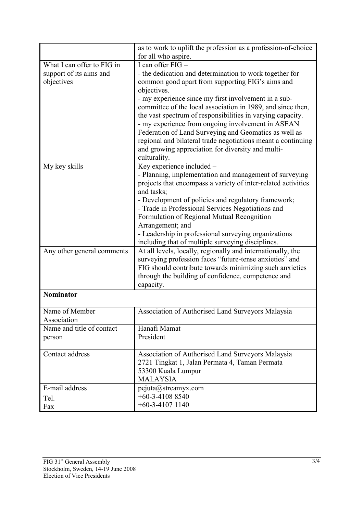|                            | as to work to uplift the profession as a profession-of-choice<br>for all who aspire. |
|----------------------------|--------------------------------------------------------------------------------------|
|                            | I can offer $FIG -$                                                                  |
| What I can offer to FIG in |                                                                                      |
| support of its aims and    | - the dedication and determination to work together for                              |
| objectives                 | common good apart from supporting FIG's aims and                                     |
|                            | objectives.                                                                          |
|                            | - my experience since my first involvement in a sub-                                 |
|                            | committee of the local association in 1989, and since then,                          |
|                            | the vast spectrum of responsibilities in varying capacity.                           |
|                            | - my experience from ongoing involvement in ASEAN                                    |
|                            | Federation of Land Surveying and Geomatics as well as                                |
|                            | regional and bilateral trade negotiations meant a continuing                         |
|                            | and growing appreciation for diversity and multi-                                    |
|                            | culturality.                                                                         |
| My key skills              | Key experience included -                                                            |
|                            | - Planning, implementation and management of surveying                               |
|                            | projects that encompass a variety of inter-related activities                        |
|                            | and tasks;                                                                           |
|                            | - Development of policies and regulatory framework;                                  |
|                            | - Trade in Professional Services Negotiations and                                    |
|                            | Formulation of Regional Mutual Recognition                                           |
|                            | Arrangement; and                                                                     |
|                            | - Leadership in professional surveying organizations                                 |
|                            | including that of multiple surveying disciplines.                                    |
| Any other general comments | At all levels, locally, regionally and internationally, the                          |
|                            | surveying profession faces "future-tense anxieties" and                              |
|                            | FIG should contribute towards minimizing such anxieties                              |
|                            | through the building of confidence, competence and                                   |
|                            | capacity.                                                                            |
| <b>Nominator</b>           |                                                                                      |
| Name of Member             | Association of Authorised Land Surveyors Malaysia                                    |
| Association                |                                                                                      |
| Name and title of contact  | Hanafi Mamat                                                                         |
|                            | President                                                                            |
| person                     |                                                                                      |
| Contact address            | Association of Authorised Land Surveyors Malaysia                                    |
|                            | 2721 Tingkat 1, Jalan Permata 4, Taman Permata                                       |
|                            | 53300 Kuala Lumpur                                                                   |
|                            | <b>MALAYSIA</b>                                                                      |
| E-mail address             | pejuta@streamyx.com                                                                  |
| Tel.                       | $+60-3-41088540$                                                                     |
| Fax                        | $+60-3-41071140$                                                                     |